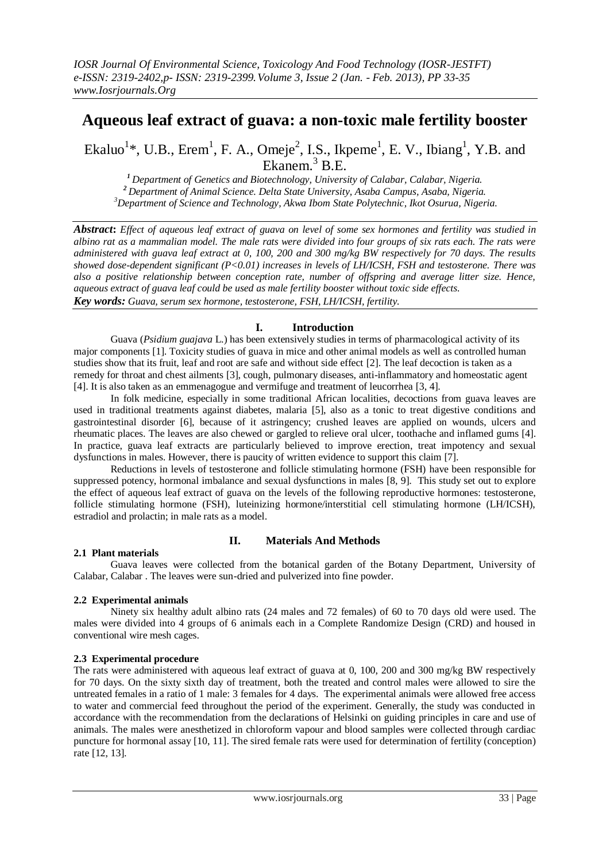# **Aqueous leaf extract of guava: a non-toxic male fertility booster**

Ekaluo<sup>1</sup>\*, U.B., Erem<sup>1</sup>, F. A., Omeje<sup>2</sup>, I.S., Ikpeme<sup>1</sup>, E. V., Ibiang<sup>1</sup>, Y.B. and Ekanem.<sup>3</sup> B.E.

*<sup>1</sup>Department of Genetics and Biotechnology, University of Calabar, Calabar, Nigeria. <sup>2</sup>Department of Animal Science. Delta State University, Asaba Campus, Asaba, Nigeria. <sup>3</sup>Department of Science and Technology, Akwa Ibom State Polytechnic, Ikot Osurua, Nigeria.*

*Abstract***:** *Effect of aqueous leaf extract of guava on level of some sex hormones and fertility was studied in albino rat as a mammalian model. The male rats were divided into four groups of six rats each. The rats were administered with guava leaf extract at 0, 100, 200 and 300 mg/kg BW respectively for 70 days. The results showed dose-dependent significant (P<0.01) increases in levels of LH/ICSH, FSH and testosterone. There was also a positive relationship between conception rate, number of offspring and average litter size. Hence, aqueous extract of guava leaf could be used as male fertility booster without toxic side effects. Key words: Guava, serum sex hormone, testosterone, FSH, LH/ICSH, fertility.* 

# **I. Introduction**

Guava (*Psidium guajava* L.) has been extensively studies in terms of pharmacological activity of its major components [1]. Toxicity studies of guava in mice and other animal models as well as controlled human studies show that its fruit, leaf and root are safe and without side effect [2]. The leaf decoction is taken as a remedy for throat and chest ailments [3], cough, pulmonary diseases, anti-inflammatory and homeostatic agent [4]. It is also taken as an emmenagogue and vermifuge and treatment of leucorrhea [3, 4].

In folk medicine, especially in some traditional African localities, decoctions from guava leaves are used in traditional treatments against diabetes, malaria [5], also as a tonic to treat digestive conditions and gastrointestinal disorder [6], because of it astringency; crushed leaves are applied on wounds, ulcers and rheumatic places. The leaves are also chewed or gargled to relieve oral ulcer, toothache and inflamed gums [4]. In practice, guava leaf extracts are particularly believed to improve erection, treat impotency and sexual dysfunctions in males. However, there is paucity of written evidence to support this claim [7].

Reductions in levels of testosterone and follicle stimulating hormone (FSH) have been responsible for suppressed potency, hormonal imbalance and sexual dysfunctions in males [8, 9]. This study set out to explore the effect of aqueous leaf extract of guava on the levels of the following reproductive hormones: testosterone, follicle stimulating hormone (FSH), luteinizing hormone/interstitial cell stimulating hormone (LH/ICSH), estradiol and prolactin; in male rats as a model.

# **2.1 Plant materials**

# **II. Materials And Methods**

Guava leaves were collected from the botanical garden of the Botany Department, University of Calabar, Calabar . The leaves were sun-dried and pulverized into fine powder.

# **2.2 Experimental animals**

Ninety six healthy adult albino rats (24 males and 72 females) of 60 to 70 days old were used. The males were divided into 4 groups of 6 animals each in a Complete Randomize Design (CRD) and housed in conventional wire mesh cages.

# **2.3 Experimental procedure**

The rats were administered with aqueous leaf extract of guava at 0, 100, 200 and 300 mg/kg BW respectively for 70 days. On the sixty sixth day of treatment, both the treated and control males were allowed to sire the untreated females in a ratio of 1 male: 3 females for 4 days. The experimental animals were allowed free access to water and commercial feed throughout the period of the experiment. Generally, the study was conducted in accordance with the recommendation from the declarations of Helsinki on guiding principles in care and use of animals. The males were anesthetized in chloroform vapour and blood samples were collected through cardiac puncture for hormonal assay [10, 11]. The sired female rats were used for determination of fertility (conception) rate [12, 13].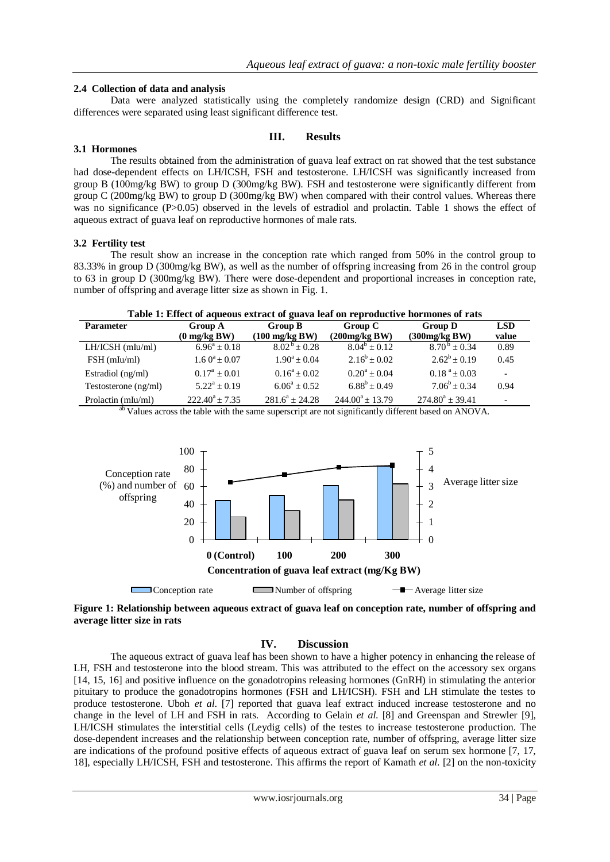### **2.4 Collection of data and analysis**

Data were analyzed statistically using the completely randomize design (CRD) and Significant differences were separated using least significant difference test.

#### **III. Results**

#### **3.1 Hormones**

The results obtained from the administration of guava leaf extract on rat showed that the test substance had dose-dependent effects on LH/ICSH, FSH and testosterone. LH/ICSH was significantly increased from group B (100mg/kg BW) to group D (300mg/kg BW). FSH and testosterone were significantly different from group C (200mg/kg BW) to group D (300mg/kg BW) when compared with their control values. Whereas there was no significance (P>0.05) observed in the levels of estradiol and prolactin. Table 1 shows the effect of aqueous extract of guava leaf on reproductive hormones of male rats.

#### **3.2 Fertility test**

The result show an increase in the conception rate which ranged from 50% in the control group to 83.33% in group D (300mg/kg BW), as well as the number of offspring increasing from 26 in the control group to 63 in group D (300mg/kg BW). There were dose-dependent and proportional increases in conception rate, number of offspring and average litter size as shown in Fig. 1.

| <b>Parameter</b>     | <b>Group A</b>         | Group B                  | Group C              | <b>Group D</b>             | <b>LSD</b> |
|----------------------|------------------------|--------------------------|----------------------|----------------------------|------------|
|                      | $(0 \text{ mg/kg BW})$ | $(100 \text{ mg/kg BW})$ | (200mg/kg BW)        | (300mg/kg BW)              | value      |
| $LH/ICSH$ (mIu/mI)   | $6.96^a \pm 0.18$      | $8.02^b \pm 0.28$        | $8.04^b + 0.12$      | $8.70^{\mathrm{b}} + 0.34$ | 0.89       |
| $FSH$ (mIu/mI)       | $1.60^a \pm 0.07$      | $1.90^a + 0.04$          | $2.16^b \pm 0.02$    | $2.62^b \pm 0.19$          | 0.45       |
| Estradiol (ng/ml)    | $0.17^a \pm 0.01$      | $0.16^a + 0.02$          | $0.20^a + 0.04$      | $0.18^{a} \pm 0.03$        |            |
| Testosterone (ng/ml) | $5.22^a + 0.19$        | $6.06^a + 0.52$          | $6.88^b \pm 0.49$    | $7.06^b \pm 0.34$          | 0.94       |
| Prolactin (mIu/ml)   | $222.40^a + 7.35$      | $281.6^a \pm 24.28$      | $244.00^a \pm 13.79$ | $274.80^a \pm 39.41$       |            |

<sup>ab</sup> Values across the table with the same superscript are not significantly different based on ANOVA.



**Figure 1: Relationship between aqueous extract of guava leaf on conception rate, number of offspring and average litter size in rats**

# **IV. Discussion**

The aqueous extract of guava leaf has been shown to have a higher potency in enhancing the release of LH, FSH and testosterone into the blood stream. This was attributed to the effect on the accessory sex organs [14, 15, 16] and positive influence on the gonadotropins releasing hormones (GnRH) in stimulating the anterior pituitary to produce the gonadotropins hormones (FSH and LH/ICSH). FSH and LH stimulate the testes to produce testosterone. Uboh *et al*. [7] reported that guava leaf extract induced increase testosterone and no change in the level of LH and FSH in rats. According to Gelain *et al*. [8] and Greenspan and Strewler [9], LH/ICSH stimulates the interstitial cells (Leydig cells) of the testes to increase testosterone production. The dose-dependent increases and the relationship between conception rate, number of offspring, average litter size are indications of the profound positive effects of aqueous extract of guava leaf on serum sex hormone [7, 17, 18], especially LH/ICSH, FSH and testosterone. This affirms the report of Kamath *et al*. [2] on the non-toxicity